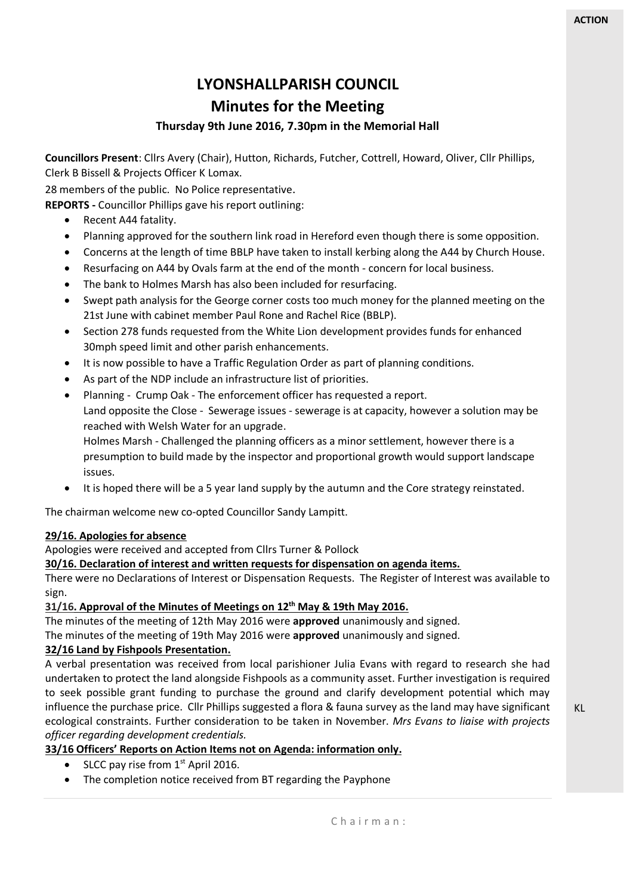# **LYONSHALLPARISH COUNCIL**

## **Minutes for the Meeting**

### **Thursday 9th June 2016, 7.30pm in the Memorial Hall**

**Councillors Present**: Cllrs Avery (Chair), Hutton, Richards, Futcher, Cottrell, Howard, Oliver, Cllr Phillips, Clerk B Bissell & Projects Officer K Lomax.

28 members of the public. No Police representative.

**REPORTS -** Councillor Phillips gave his report outlining:

- Recent A44 fatality.
- Planning approved for the southern link road in Hereford even though there is some opposition.
- Concerns at the length of time BBLP have taken to install kerbing along the A44 by Church House.
- Resurfacing on A44 by Ovals farm at the end of the month concern for local business.
- The bank to Holmes Marsh has also been included for resurfacing.
- Swept path analysis for the George corner costs too much money for the planned meeting on the 21st June with cabinet member Paul Rone and Rachel Rice (BBLP).
- Section 278 funds requested from the White Lion development provides funds for enhanced 30mph speed limit and other parish enhancements.
- It is now possible to have a Traffic Regulation Order as part of planning conditions.
- As part of the NDP include an infrastructure list of priorities.
- Planning Crump Oak The enforcement officer has requested a report. Land opposite the Close - Sewerage issues - sewerage is at capacity, however a solution may be reached with Welsh Water for an upgrade.

Holmes Marsh - Challenged the planning officers as a minor settlement, however there is a presumption to build made by the inspector and proportional growth would support landscape issues.

It is hoped there will be a 5 year land supply by the autumn and the Core strategy reinstated.

The chairman welcome new co-opted Councillor Sandy Lampitt.

#### **29/16. Apologies for absence**

Apologies were received and accepted from Cllrs Turner & Pollock

#### **30/16. Declaration of interest and written requests for dispensation on agenda items.**

There were no Declarations of Interest or Dispensation Requests. The Register of Interest was available to sign.

#### **31/16. Approval of the Minutes of Meetings on 12 th May & 19th May 2016.**

The minutes of the meeting of 12th May 2016 were **approved** unanimously and signed.

The minutes of the meeting of 19th May 2016 were **approved** unanimously and signed.

#### **32/16 Land by Fishpools Presentation.**

A verbal presentation was received from local parishioner Julia Evans with regard to research she had undertaken to protect the land alongside Fishpools as a community asset. Further investigation is required to seek possible grant funding to purchase the ground and clarify development potential which may influence the purchase price. Cllr Phillips suggested a flora & fauna survey as the land may have significant ecological constraints. Further consideration to be taken in November. *Mrs Evans to liaise with projects officer regarding development credentials.*

#### **33/16 Officers' Reports on Action Items not on Agenda: information only.**

- SLCC pay rise from  $1<sup>st</sup>$  April 2016.
- The completion notice received from BT regarding the Payphone

KL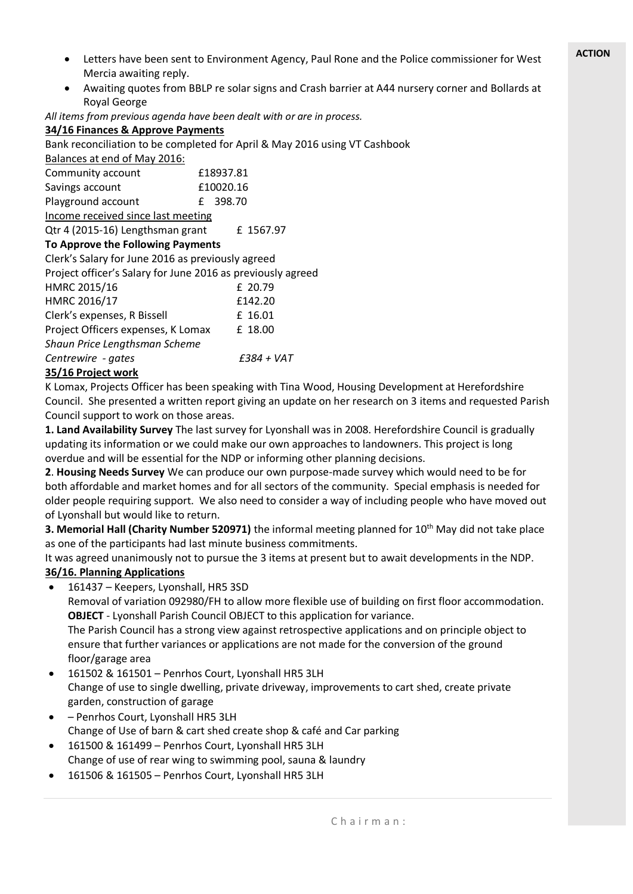- Letters have been sent to Environment Agency, Paul Rone and the Police commissioner for West Mercia awaiting reply.
- Awaiting quotes from BBLP re solar signs and Crash barrier at A44 nursery corner and Bollards at Royal George

*All items from previous agenda have been dealt with or are in process.*

#### **34/16 Finances & Approve Payments** Bank reconciliation to be completed for April & May 2016 using VT Cashbook Balances at end of May 2016: Community account **£18937.81** Savings account <br>
£10020.16 Playground account E 398.70 Income received since last meeting Qtr 4 (2015-16) Lengthsman grant £ 1567.97 **To Approve the Following Payments** Clerk's Salary for June 2016 as previously agreed Project officer's Salary for June 2016 as previously agreed HMRC 2015/16 £ 20.79 HMRC 2016/17 **£142.20** Clerk's expenses, R Bissell E 16.01 Project Officers expenses, K Lomax £ 18.00 *Shaun Price Lengthsman Scheme Centrewire - gates £384 + VAT*

#### **35/16 Project work**

K Lomax, Projects Officer has been speaking with Tina Wood, Housing Development at Herefordshire Council. She presented a written report giving an update on her research on 3 items and requested Parish Council support to work on those areas.

**1. Land Availability Survey** The last survey for Lyonshall was in 2008. Herefordshire Council is gradually updating its information or we could make our own approaches to landowners. This project is long overdue and will be essential for the NDP or informing other planning decisions.

**2**. **Housing Needs Survey** We can produce our own purpose-made survey which would need to be for both affordable and market homes and for all sectors of the community. Special emphasis is needed for older people requiring support. We also need to consider a way of including people who have moved out of Lyonshall but would like to return.

**3. Memorial Hall (Charity Number 520971)** the informal meeting planned for 10<sup>th</sup> May did not take place as one of the participants had last minute business commitments.

It was agreed unanimously not to pursue the 3 items at present but to await developments in the NDP. **36/16. Planning Applications**

161437 – Keepers, Lyonshall, HR5 3SD

Removal of variation 092980/FH to allow more flexible use of building on first floor accommodation. **OBJECT** - Lyonshall Parish Council OBJECT to this application for variance.

The Parish Council has a strong view against retrospective applications and on principle object to ensure that further variances or applications are not made for the conversion of the ground floor/garage area

- 161502 & 161501 Penrhos Court, Lyonshall HR5 3LH Change of use to single dwelling, private driveway, improvements to cart shed, create private garden, construction of garage
- Penrhos Court, Lyonshall HR5 3LH Change of Use of barn & cart shed create shop & café and Car parking
- 161500 & 161499 Penrhos Court, Lyonshall HR5 3LH Change of use of rear wing to swimming pool, sauna & laundry
- 161506 & 161505 Penrhos Court, Lyonshall HR5 3LH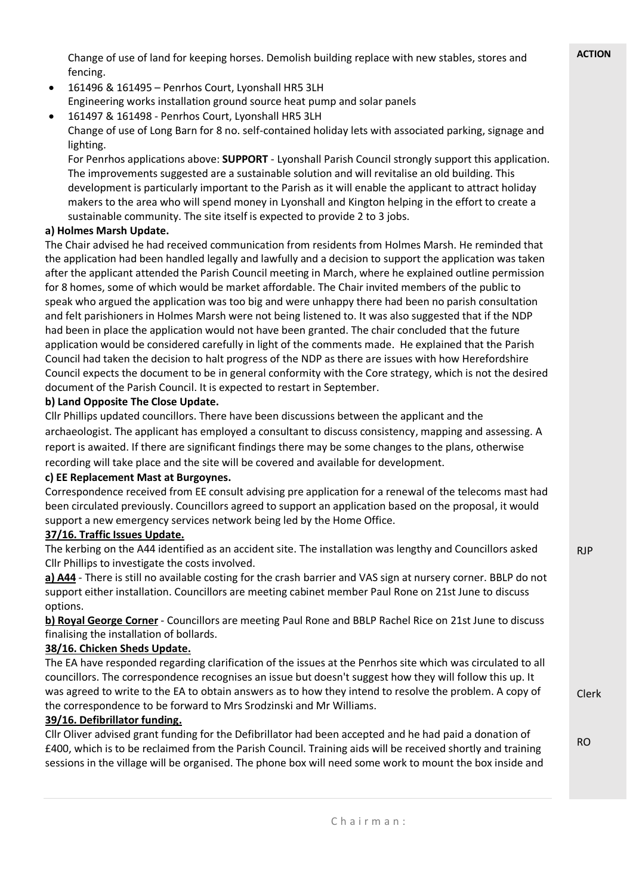Change of use of land for keeping horses. Demolish building replace with new stables, stores and fencing.

- 161496 & 161495 Penrhos Court, Lyonshall HR5 3LH Engineering works installation ground source heat pump and solar panels
- 161497 & 161498 Penrhos Court, Lyonshall HR5 3LH Change of use of Long Barn for 8 no. self-contained holiday lets with associated parking, signage and lighting.

For Penrhos applications above: **SUPPORT** - Lyonshall Parish Council strongly support this application. The improvements suggested are a sustainable solution and will revitalise an old building. This development is particularly important to the Parish as it will enable the applicant to attract holiday makers to the area who will spend money in Lyonshall and Kington helping in the effort to create a sustainable community. The site itself is expected to provide 2 to 3 jobs.

#### **a) Holmes Marsh Update.**

The Chair advised he had received communication from residents from Holmes Marsh. He reminded that the application had been handled legally and lawfully and a decision to support the application was taken after the applicant attended the Parish Council meeting in March, where he explained outline permission for 8 homes, some of which would be market affordable. The Chair invited members of the public to speak who argued the application was too big and were unhappy there had been no parish consultation and felt parishioners in Holmes Marsh were not being listened to. It was also suggested that if the NDP had been in place the application would not have been granted. The chair concluded that the future application would be considered carefully in light of the comments made. He explained that the Parish Council had taken the decision to halt progress of the NDP as there are issues with how Herefordshire Council expects the document to be in general conformity with the Core strategy, which is not the desired document of the Parish Council. It is expected to restart in September.

#### **b) Land Opposite The Close Update.**

Cllr Phillips updated councillors. There have been discussions between the applicant and the archaeologist. The applicant has employed a consultant to discuss consistency, mapping and assessing. A report is awaited. If there are significant findings there may be some changes to the plans, otherwise recording will take place and the site will be covered and available for development.

#### **c) EE Replacement Mast at Burgoynes.**

Correspondence received from EE consult advising pre application for a renewal of the telecoms mast had been circulated previously. Councillors agreed to support an application based on the proposal, it would support a new emergency services network being led by the Home Office.

#### **37/16. Traffic Issues Update.**

The kerbing on the A44 identified as an accident site. The installation was lengthy and Councillors asked Cllr Phillips to investigate the costs involved.

**a) A44** - There is still no available costing for the crash barrier and VAS sign at nursery corner. BBLP do not support either installation. Councillors are meeting cabinet member Paul Rone on 21st June to discuss options.

**b) Royal George Corner** - Councillors are meeting Paul Rone and BBLP Rachel Rice on 21st June to discuss finalising the installation of bollards.

#### **38/16. Chicken Sheds Update.**

The EA have responded regarding clarification of the issues at the Penrhos site which was circulated to all councillors. The correspondence recognises an issue but doesn't suggest how they will follow this up. It was agreed to write to the EA to obtain answers as to how they intend to resolve the problem. A copy of the correspondence to be forward to Mrs Srodzinski and Mr Williams.

#### **39/16. Defibrillator funding.**

Cllr Oliver advised grant funding for the Defibrillator had been accepted and he had paid a donation of £400, which is to be reclaimed from the Parish Council. Training aids will be received shortly and training sessions in the village will be organised. The phone box will need some work to mount the box inside and RJP

Clerk

RO

**ACTION**